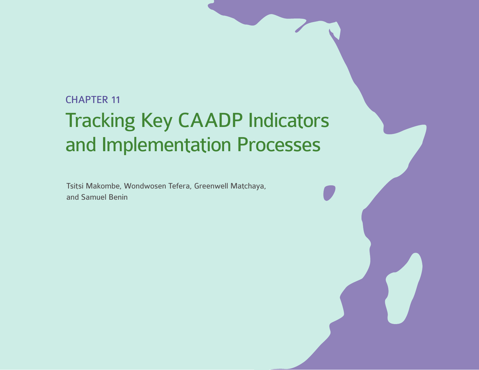# CHAPTER 11

# Tracking Key CAADP Indicators and Implementation Processes

Tsitsi Makombe, Wondwosen Tefera, Greenwell Matchaya, and Samuel Benin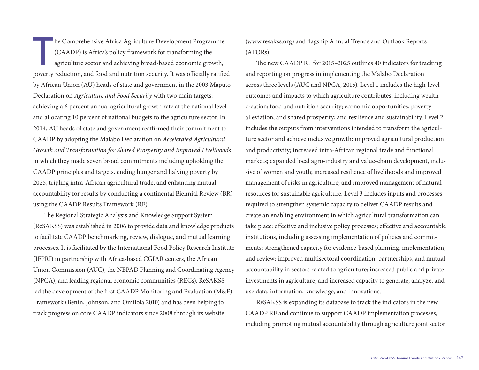The Comprehensive Africa Agriculture Development Programme<br>(CAADP) is Africa's policy framework for transforming the<br>agriculture sector and achieving broad-based economic growth,<br>poverty reduction and food and putrition se (CAADP) is Africa's policy framework for transforming the agriculture sector and achieving broad-based economic growth, poverty reduction, and food and nutrition security. It was officially ratified by African Union (AU) heads of state and government in the 2003 Maputo Declaration on *Agriculture and Food Security* with two main targets: achieving a 6 percent annual agricultural growth rate at the national level and allocating 10 percent of national budgets to the agriculture sector. In 2014, AU heads of state and government reaffirmed their commitment to CAADP by adopting the Malabo Declaration on *Accelerated Agricultural Growth and Transformation for Shared Prosperity and Improved Livelihoods* in which they made seven broad commitments including upholding the CAADP principles and targets, ending hunger and halving poverty by 2025, tripling intra-African agricultural trade, and enhancing mutual accountability for results by conducting a continental Biennial Review (BR) using the CAADP Results Framework (RF).

The Regional Strategic Analysis and Knowledge Support System (ReSAKSS) was established in 2006 to provide data and knowledge products to facilitate CAADP benchmarking, review, dialogue, and mutual learning processes. It is facilitated by the International Food Policy Research Institute (IFPRI) in partnership with Africa-based CGIAR centers, the African Union Commission (AUC), the NEPAD Planning and Coordinating Agency (NPCA), and leading regional economic communities (RECs). ReSAKSS led the development of the first CAADP Monitoring and Evaluation (M&E) Framework (Benin, Johnson, and Omilola 2010) and has been helping to track progress on core CAADP indicators since 2008 through its website

(www.resakss.org) and flagship Annual Trends and Outlook Reports (ATORs).

The new CAADP RF for 2015–2025 outlines 40 indicators for tracking and reporting on progress in implementing the Malabo Declaration across three levels (AUC and NPCA, 2015). Level 1 includes the high-level outcomes and impacts to which agriculture contributes, including wealth creation; food and nutrition security; economic opportunities, poverty alleviation, and shared prosperity; and resilience and sustainability. Level 2 includes the outputs from interventions intended to transform the agriculture sector and achieve inclusive growth: improved agricultural production and productivity; increased intra-African regional trade and functional markets; expanded local agro-industry and value-chain development, inclusive of women and youth; increased resilience of livelihoods and improved management of risks in agriculture; and improved management of natural resources for sustainable agriculture. Level 3 includes inputs and processes required to strengthen systemic capacity to deliver CAADP results and create an enabling environment in which agricultural transformation can take place: effective and inclusive policy processes; effective and accountable institutions, including assessing implementation of policies and commitments; strengthened capacity for evidence-based planning, implementation, and review; improved multisectoral coordination, partnerships, and mutual accountability in sectors related to agriculture; increased public and private investments in agriculture; and increased capacity to generate, analyze, and use data, information, knowledge, and innovations.

ReSAKSS is expanding its database to track the indicators in the new CAADP RF and continue to support CAADP implementation processes, including promoting mutual accountability through agriculture joint sector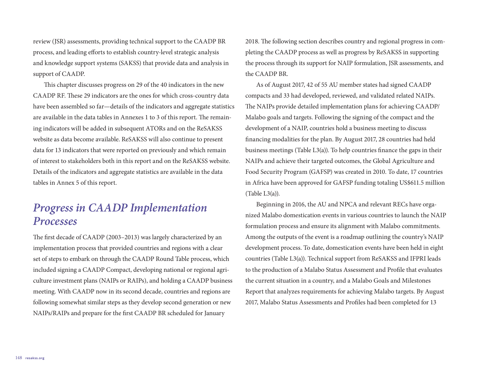review (JSR) assessments, providing technical support to the CAADP BR process, and leading efforts to establish country-level strategic analysis and knowledge support systems (SAKSS) that provide data and analysis in support of CAADP.

This chapter discusses progress on 29 of the 40 indicators in the new CAADP RF. These 29 indicators are the ones for which cross-country data have been assembled so far—details of the indicators and aggregate statistics are available in the data tables in Annexes 1 to 3 of this report. The remaining indicators will be added in subsequent ATORs and on the ReSAKSS website as data become available. ReSAKSS will also continue to present data for 13 indicators that were reported on previously and which remain of interest to stakeholders both in this report and on the ReSAKSS website. Details of the indicators and aggregate statistics are available in the data tables in Annex 5 of this report.

# *Progress in CAADP Implementation Processes*

The first decade of CAADP (2003–2013) was largely characterized by an implementation process that provided countries and regions with a clear set of steps to embark on through the CAADP Round Table process, which included signing a CAADP Compact, developing national or regional agriculture investment plans (NAIPs or RAIPs), and holding a CAADP business meeting. With CAADP now in its second decade, countries and regions are following somewhat similar steps as they develop second generation or new NAIPs/RAIPs and prepare for the first CAADP BR scheduled for January

2018. The following section describes country and regional progress in completing the CAADP process as well as progress by ReSAKSS in supporting the process through its support for NAIP formulation, JSR assessments, and the CAADP BR.

As of August 2017, 42 of 55 AU member states had signed CAADP compacts and 33 had developed, reviewed, and validated related NAIPs. The NAIPs provide detailed implementation plans for achieving CAADP/ Malabo goals and targets. Following the signing of the compact and the development of a NAIP, countries hold a business meeting to discuss financing modalities for the plan. By August 2017, 28 countries had held business meetings (Table L3(a)). To help countries finance the gaps in their NAIPs and achieve their targeted outcomes, the Global Agriculture and Food Security Program (GAFSP) was created in 2010. To date, 17 countries in Africa have been approved for GAFSP funding totaling US\$611.5 million (Table L3(a)).

Beginning in 2016, the AU and NPCA and relevant RECs have organized Malabo domestication events in various countries to launch the NAIP formulation process and ensure its alignment with Malabo commitments. Among the outputs of the event is a roadmap outlining the country's NAIP development process. To date, domestication events have been held in eight countries (Table L3(a)). Technical support from ReSAKSS and IFPRI leads to the production of a Malabo Status Assessment and Profile that evaluates the current situation in a country, and a Malabo Goals and Milestones Report that analyzes requirements for achieving Malabo targets. By August 2017, Malabo Status Assessments and Profiles had been completed for 13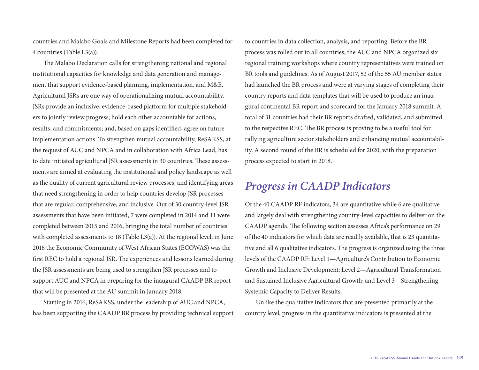countries and Malabo Goals and Milestone Reports had been completed for 4 countries (Table L3(a)).

The Malabo Declaration calls for strengthening national and regional institutional capacities for knowledge and data generation and management that support evidence-based planning, implementation, and M&E. Agricultural JSRs are one way of operationalizing mutual accountability. JSRs provide an inclusive, evidence-based platform for multiple stakeholders to jointly review progress; hold each other accountable for actions, results, and commitments; and, based on gaps identified, agree on future implementation actions. To strengthen mutual accountability, ReSAKSS, at the request of AUC and NPCA and in collaboration with Africa Lead, has to date initiated agricultural JSR assessments in 30 countries. These assessments are aimed at evaluating the institutional and policy landscape as well as the quality of current agricultural review processes, and identifying areas that need strengthening in order to help countries develop JSR processes that are regular, comprehensive, and inclusive. Out of 30 country-level JSR assessments that have been initiated, 7 were completed in 2014 and 11 were completed between 2015 and 2016, bringing the total number of countries with completed assessments to 18 (Table L3(a)). At the regional level, in June 2016 the Economic Community of West African States (ECOWAS) was the first REC to hold a regional JSR. The experiences and lessons learned during the JSR assessments are being used to strengthen JSR processes and to support AUC and NPCA in preparing for the inaugural CAADP BR report that will be presented at the AU summit in January 2018.

Starting in 2016, ReSAKSS, under the leadership of AUC and NPCA, has been supporting the CAADP BR process by providing technical support to countries in data collection, analysis, and reporting. Before the BR process was rolled out to all countries, the AUC and NPCA organized six regional training workshops where country representatives were trained on BR tools and guidelines. As of August 2017, 52 of the 55 AU member states had launched the BR process and were at varying stages of completing their country reports and data templates that will be used to produce an inaugural continental BR report and scorecard for the January 2018 summit. A total of 31 countries had their BR reports drafted, validated, and submitted to the respective REC. The BR process is proving to be a useful tool for rallying agriculture sector stakeholders and enhancing mutual accountability. A second round of the BR is scheduled for 2020, with the preparation process expected to start in 2018.

## *Progress in CAADP Indicators*

Of the 40 CAADP RF indicators, 34 are quantitative while 6 are qualitative and largely deal with strengthening country-level capacities to deliver on the CAADP agenda. The following section assesses Africa's performance on 29 of the 40 indicators for which data are readily available, that is 23 quantitative and all 6 qualitative indicators. The progress is organized using the three levels of the CAADP RF: Level 1—Agriculture's Contribution to Economic Growth and Inclusive Development; Level 2—Agricultural Transformation and Sustained Inclusive Agricultural Growth; and Level 3—Strengthening Systemic Capacity to Deliver Results.

Unlike the qualitative indicators that are presented primarily at the country level, progress in the quantitative indicators is presented at the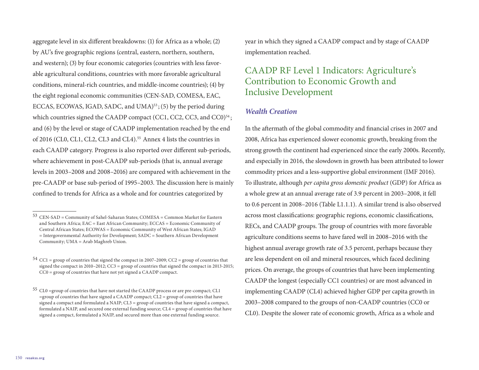aggregate level in six different breakdowns: (1) for Africa as a whole; (2) by AU's five geographic regions (central, eastern, northern, southern, and western); (3) by four economic categories (countries with less favorable agricultural conditions, countries with more favorable agricultural conditions, mineral-rich countries, and middle-income countries); (4) by the eight regional economic communities (CEN-SAD, COMESA, EAC, ECCAS, ECOWAS, IGAD, SADC, and UMA)<sup>53</sup>; (5) by the period during which countries signed the CAADP compact (CC1, CC2, CC3, and CC0) $54$ ; and (6) by the level or stage of CAADP implementation reached by the end of 2016 (CL0, CL1, CL2, CL3 and CL4).<sup>55</sup> Annex 4 lists the countries in each CAADP category. Progress is also reported over different sub-periods, where achievement in post-CAADP sub-periods (that is, annual average levels in 2003–2008 and 2008–2016) are compared with achievement in the pre-CAADP or base sub-period of 1995–2003. The discussion here is mainly confined to trends for Africa as a whole and for countries categorized by

year in which they signed a CAADP compact and by stage of CAADP implementation reached.

## CAADP RF Level 1 Indicators: Agriculture's Contribution to Economic Growth and Inclusive Development

#### *Wealth Creation*

In the aftermath of the global commodity and financial crises in 2007 and 2008, Africa has experienced slower economic growth, breaking from the strong growth the continent had experienced since the early 2000s. Recently, and especially in 2016, the slowdown in growth has been attributed to lower commodity prices and a less-supportive global environment (IMF 2016). To illustrate, although *per capita gross domestic product* (GDP) for Africa as a whole grew at an annual average rate of 3.9 percent in 2003–2008, it fell to 0.6 percent in 2008–2016 (Table L1.1.1). A similar trend is also observed across most classifications: geographic regions, economic classifications, RECs, and CAADP groups. The group of countries with more favorable agriculture conditions seems to have fared well in 2008–2016 with the highest annual average growth rate of 3.5 percent, perhaps because they are less dependent on oil and mineral resources, which faced declining prices. On average, the groups of countries that have been implementing CAADP the longest (especially CC1 countries) or are most advanced in implementing CAADP (CL4) achieved higher GDP per capita growth in 2003–2008 compared to the groups of non-CAADP countries (CC0 or CL0). Despite the slower rate of economic growth, Africa as a whole and

<sup>53</sup> CEN-SAD = Community of Sahel-Saharan States; COMESA = Common Market for Eastern and Southern Africa; EAC = East African Community; ECCAS = Economic Community of Central African States; ECOWAS = Economic Community of West African States; IGAD = Intergovernmental Authority for Development; SADC = Southern African Development Community; UMA = Arab Maghreb Union.

 $54$  CC1 = group of countries that signed the compact in 2007–2009; CC2 = group of countries that signed the compact in 2010–2012;  $CC3 =$  group of countries that signed the compact in 2013-2015; CC0 = group of countries that have not yet signed a CAADP compact.

<sup>55</sup> CL0 =group of countries that have not started the CAADP process or are pre-compact; CL1  $=$ group of countries that have signed a CAADP compact; CL2  $=$  group of countries that have signed a compact and formulated a  $NAIP$ ;  $CL3 =$  group of countries that have signed a compact, formulated a NAIP, and secured one external funding source; CL4 = group of countries that have signed a compact, formulated a NAIP, and secured more than one external funding source.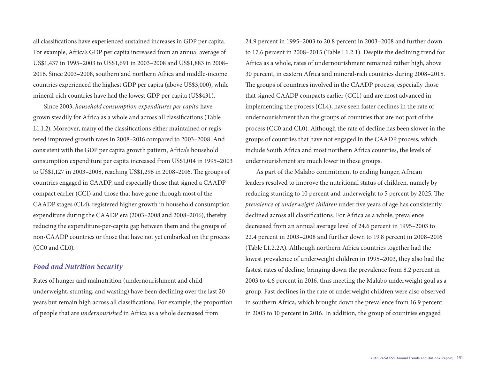all classifications have experienced sustained increases in GDP per capita. For example, Africa's GDP per capita increased from an annual average of US\$1,437 in 1995–2003 to US\$1,691 in 2003–2008 and US\$1,883 in 2008– 2016. Since 2003–2008, southern and northern Africa and middle-income countries experienced the highest GDP per capita (above US\$3,000), while mineral-rich countries have had the lowest GDP per capita (US\$431).

Since 2003, *household consumption expenditures per capita* have grown steadily for Africa as a whole and across all classifications (Table L1.1.2). Moreover, many of the classifications either maintained or registered improved growth rates in 2008–2016 compared to 2003–2008. And consistent with the GDP per capita growth pattern, Africa's household consumption expenditure per capita increased from US\$1,014 in 1995–2003 to US\$1,127 in 2003–2008, reaching US\$1,296 in 2008–2016. The groups of countries engaged in CAADP, and especially those that signed a CAADP compact earlier (CC1) and those that have gone through most of the CAADP stages (CL4), registered higher growth in household consumption expenditure during the CAADP era (2003–2008 and 2008–2016), thereby reducing the expenditure-per-capita gap between them and the groups of non-CAADP countries or those that have not yet embarked on the process (CC0 and CL0).

#### *Food and Nutrition Security*

Rates of hunger and malnutrition (undernourishment and child underweight, stunting, and wasting) have been declining over the last 20 years but remain high across all classifications. For example, the proportion of people that are *undernourished* in Africa as a whole decreased from

24.9 percent in 1995–2003 to 20.8 percent in 2003–2008 and further down to 17.6 percent in 2008–2015 (Table L1.2.1). Despite the declining trend for Africa as a whole, rates of undernourishment remained rather high, above 30 percent, in eastern Africa and mineral-rich countries during 2008–2015. The groups of countries involved in the CAADP process, especially those that signed CAADP compacts earlier (CC1) and are most advanced in implementing the process (CL4), have seen faster declines in the rate of undernourishment than the groups of countries that are not part of the process (CC0 and CL0). Although the rate of decline has been slower in the groups of countries that have not engaged in the CAADP process, which include South Africa and most northern Africa countries, the levels of undernourishment are much lower in these groups.

As part of the Malabo commitment to ending hunger, African leaders resolved to improve the nutritional status of children, namely by reducing stunting to 10 percent and underweight to 5 percent by 2025. The *prevalence of underweight children* under five years of age has consistently declined across all classifications. For Africa as a whole, prevalence decreased from an annual average level of 24.6 percent in 1995–2003 to 22.4 percent in 2003–2008 and further down to 19.8 percent in 2008–2016 (Table L1.2.2A). Although northern Africa countries together had the lowest prevalence of underweight children in 1995–2003, they also had the fastest rates of decline, bringing down the prevalence from 8.2 percent in 2003 to 4.6 percent in 2016, thus meeting the Malabo underweight goal as a group. Fast declines in the rate of underweight children were also observed in southern Africa, which brought down the prevalence from 16.9 percent in 2003 to 10 percent in 2016. In addition, the group of countries engaged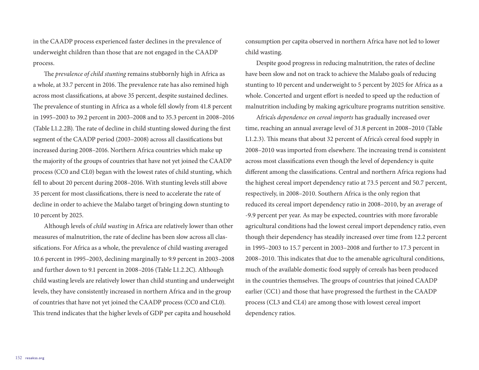in the CAADP process experienced faster declines in the prevalence of underweight children than those that are not engaged in the CAADP process.

The *prevalence of child stunting* remains stubbornly high in Africa as a whole, at 33.7 percent in 2016. The prevalence rate has also remined high across most classifications, at above 35 percent, despite sustained declines. The prevalence of stunting in Africa as a whole fell slowly from 41.8 percent in 1995–2003 to 39.2 percent in 2003–2008 and to 35.3 percent in 2008–2016 (Table L1.2.2B). The rate of decline in child stunting slowed during the first segment of the CAADP period (2003–2008) across all classifications but increased during 2008–2016. Northern Africa countries which make up the majority of the groups of countries that have not yet joined the CAADP process (CC0 and CL0) began with the lowest rates of child stunting, which fell to about 20 percent during 2008–2016. With stunting levels still above 35 percent for most classifications, there is need to accelerate the rate of decline in order to achieve the Malabo target of bringing down stunting to 10 percent by 2025.

Although levels of *child wasting* in Africa are relatively lower than other measures of malnutrition, the rate of decline has been slow across all classifications. For Africa as a whole, the prevalence of child wasting averaged 10.6 percent in 1995–2003, declining marginally to 9.9 percent in 2003–2008 and further down to 9.1 percent in 2008–2016 (Table L1.2.2C). Although child wasting levels are relatively lower than child stunting and underweight levels, they have consistently increased in northern Africa and in the group of countries that have not yet joined the CAADP process (CC0 and CL0). This trend indicates that the higher levels of GDP per capita and household

consumption per capita observed in northern Africa have not led to lower child wasting.

Despite good progress in reducing malnutrition, the rates of decline have been slow and not on track to achieve the Malabo goals of reducing stunting to 10 percent and underweight to 5 percent by 2025 for Africa as a whole. Concerted and urgent effort is needed to speed up the reduction of malnutrition including by making agriculture programs nutrition sensitive.

Africa's *dependence on cereal imports* has gradually increased over time, reaching an annual average level of 31.8 percent in 2008–2010 (Table L1.2.3). This means that about 32 percent of Africa's cereal food supply in 2008–2010 was imported from elsewhere. The increasing trend is consistent across most classifications even though the level of dependency is quite different among the classifications. Central and northern Africa regions had the highest cereal import dependency ratio at 73.5 percent and 50.7 percent, respectively, in 2008–2010. Southern Africa is the only region that reduced its cereal import dependency ratio in 2008–2010, by an average of -9.9 percent per year. As may be expected, countries with more favorable agricultural conditions had the lowest cereal import dependency ratio, even though their dependency has steadily increased over time from 12.2 percent in 1995–2003 to 15.7 percent in 2003–2008 and further to 17.3 percent in 2008–2010. This indicates that due to the amenable agricultural conditions, much of the available domestic food supply of cereals has been produced in the countries themselves. The groups of countries that joined CAADP earlier (CC1) and those that have progressed the furthest in the CAADP process (CL3 and CL4) are among those with lowest cereal import dependency ratios.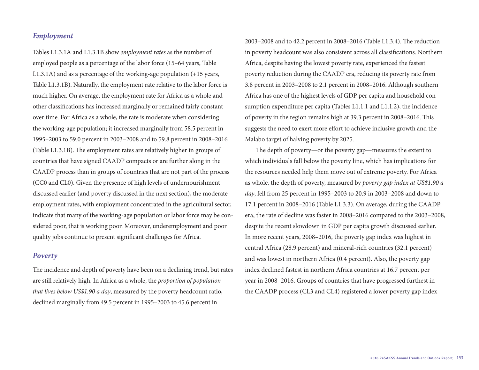#### *Employment*

Tables L1.3.1A and L1.3.1B show *employment rates* as the number of employed people as a percentage of the labor force (15–64 years, Table L1.3.1A) and as a percentage of the working-age population (+15 years, Table L1.3.1B). Naturally, the employment rate relative to the labor force is much higher. On average, the employment rate for Africa as a whole and other classifications has increased marginally or remained fairly constant over time. For Africa as a whole, the rate is moderate when considering the working-age population; it increased marginally from 58.5 percent in 1995–2003 to 59.0 percent in 2003–2008 and to 59.8 percent in 2008–2016 (Table L1.3.1B). The employment rates are relatively higher in groups of countries that have signed CAADP compacts or are further along in the CAADP process than in groups of countries that are not part of the process (CC0 and CL0). Given the presence of high levels of undernourishment discussed earlier (and poverty discussed in the next section), the moderate employment rates, with employment concentrated in the agricultural sector, indicate that many of the working-age population or labor force may be considered poor, that is working poor. Moreover, underemployment and poor quality jobs continue to present significant challenges for Africa.

#### *Poverty*

The incidence and depth of poverty have been on a declining trend, but rates are still relatively high. In Africa as a whole, the *proportion of population that lives below US\$1.90 a day*, measured by the poverty headcount ratio, declined marginally from 49.5 percent in 1995–2003 to 45.6 percent in

2003–2008 and to 42.2 percent in 2008–2016 (Table L1.3.4). The reduction in poverty headcount was also consistent across all classifications. Northern Africa, despite having the lowest poverty rate, experienced the fastest poverty reduction during the CAADP era, reducing its poverty rate from 3.8 percent in 2003–2008 to 2.1 percent in 2008–2016. Although southern Africa has one of the highest levels of GDP per capita and household consumption expenditure per capita (Tables L1.1.1 and L1.1.2), the incidence of poverty in the region remains high at 39.3 percent in 2008–2016. This suggests the need to exert more effort to achieve inclusive growth and the Malabo target of halving poverty by 2025.

The depth of poverty—or the poverty gap—measures the extent to which individuals fall below the poverty line, which has implications for the resources needed help them move out of extreme poverty. For Africa as whole, the depth of poverty, measured by *poverty gap index at US\$1.90 a day*, fell from 25 percent in 1995–2003 to 20.9 in 2003–2008 and down to 17.1 percent in 2008–2016 (Table L1.3.3). On average, during the CAADP era, the rate of decline was faster in 2008–2016 compared to the 2003–2008, despite the recent slowdown in GDP per capita growth discussed earlier. In more recent years, 2008–2016, the poverty gap index was highest in central Africa (28.9 percent) and mineral-rich countries (32.1 percent) and was lowest in northern Africa (0.4 percent). Also, the poverty gap index declined fastest in northern Africa countries at 16.7 percent per year in 2008–2016. Groups of countries that have progressed furthest in the CAADP process (CL3 and CL4) registered a lower poverty gap index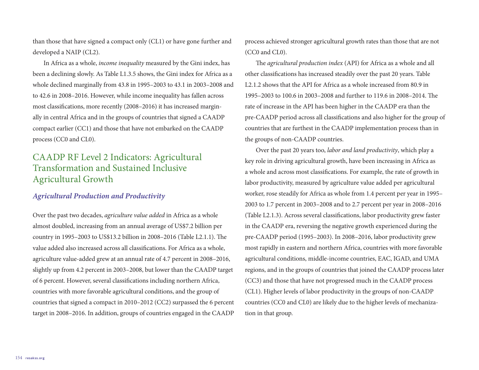than those that have signed a compact only (CL1) or have gone further and developed a NAIP (CL2).

In Africa as a whole, *income inequality* measured by the Gini index, has been a declining slowly. As Table L1.3.5 shows, the Gini index for Africa as a whole declined marginally from 43.8 in 1995–2003 to 43.1 in 2003–2008 and to 42.6 in 2008–2016. However, while income inequality has fallen across most classifications, more recently (2008–2016) it has increased marginally in central Africa and in the groups of countries that signed a CAADP compact earlier (CC1) and those that have not embarked on the CAADP process (CC0 and CL0).

## CAADP RF Level 2 Indicators: Agricultural Transformation and Sustained Inclusive Agricultural Growth

#### *Agricultural Production and Productivity*

Over the past two decades, *agriculture value added* in Africa as a whole almost doubled, increasing from an annual average of US\$7.2 billion per country in 1995–2003 to US\$13.2 billion in 2008–2016 (Table L2.1.1). The value added also increased across all classifications. For Africa as a whole, agriculture value-added grew at an annual rate of 4.7 percent in 2008–2016, slightly up from 4.2 percent in 2003–2008, but lower than the CAADP target of 6 percent. However, several classifications including northern Africa, countries with more favorable agricultural conditions, and the group of countries that signed a compact in 2010–2012 (CC2) surpassed the 6 percent target in 2008–2016. In addition, groups of countries engaged in the CAADP

process achieved stronger agricultural growth rates than those that are not (CC0 and CL0).

The *agricultural production index* (API) for Africa as a whole and all other classifications has increased steadily over the past 20 years. Table L2.1.2 shows that the API for Africa as a whole increased from 80.9 in 1995–2003 to 100.6 in 2003–2008 and further to 119.6 in 2008–2014. The rate of increase in the API has been higher in the CAADP era than the pre-CAADP period across all classifications and also higher for the group of countries that are furthest in the CAADP implementation process than in the groups of non-CAADP countries.

Over the past 20 years too, *labor and land productivity*, which play a key role in driving agricultural growth, have been increasing in Africa as a whole and across most classifications. For example, the rate of growth in labor productivity, measured by agriculture value added per agricultural worker, rose steadily for Africa as whole from 1.4 percent per year in 1995– 2003 to 1.7 percent in 2003–2008 and to 2.7 percent per year in 2008–2016 (Table L2.1.3). Across several classifications, labor productivity grew faster in the CAADP era, reversing the negative growth experienced during the pre-CAADP period (1995–2003). In 2008–2016, labor productivity grew most rapidly in eastern and northern Africa, countries with more favorable agricultural conditions, middle-income countries, EAC, IGAD, and UMA regions, and in the groups of countries that joined the CAADP process later (CC3) and those that have not progressed much in the CAADP process (CL1). Higher levels of labor productivity in the groups of non-CAADP countries (CC0 and CL0) are likely due to the higher levels of mechanization in that group.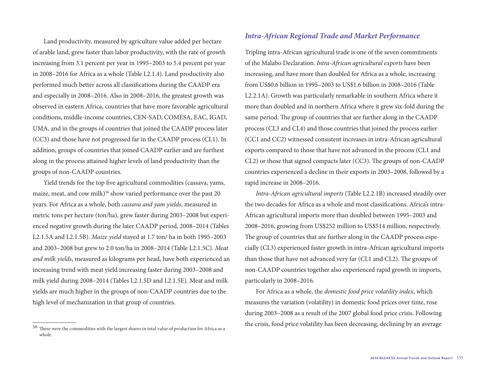Land productivity, measured by agriculture value added per hectare of arable land, grew faster than labor productivity, with the rate of growth increasing from 3.1 percent per year in 1995–2003 to 5.4 percent per year in 2008–2016 for Africa as a whole (Table L2.1.4). Land productivity also performed much better across all classifications during the CAADP era and especially in 2008–2016. Also in 2008–2016, the greatest growth was observed in eastern Africa, countries that have more favorable agricultural conditions, middle-income countries, CEN-SAD, COMESA, EAC, IGAD, UMA, and in the groups of countries that joined the CAADP process later (CC3) and those have not progressed far in the CAADP process (CL1). In addition, groups of countries that joined CAADP earlier and are furthest along in the process attained higher levels of land productivity than the groups of non-CAADP countries.

Yield trends for the top five agricultural commodities (cassava, yams, maize, meat, and cow milk)<sup>56</sup> show varied performance over the past 20 years. For Africa as a whole, both *cassava and yam yields*, measured in metric tons per hectare (ton/ha), grew faster during 2003–2008 but experienced negative growth during the later CAADP period, 2008–2014 (Tables L2.1.5A and L2.1.5B). *Maize yield* stayed at 1.7 ton/ ha in both 1995–2003 and 2003–2008 but grew to 2.0 ton/ha in 2008–2014 (Table L2.1.5C). *Meat and milk yields*, measured as kilograms per head, have both experienced an increasing trend with meat yield increasing faster during 2003–2008 and milk yield during 2008–2014 (Tables L2.1.5D and L2.1.5E). Meat and milk yields are much higher in the groups of non-CAADP countries due to the high level of mechanization in that group of countries.

#### *Intra-African Regional Trade and Market Performance*

Tripling intra-African agricultural trade is one of the seven commitments of the Malabo Declaration. *Intra-African agricultural exports* have been increasing, and have more than doubled for Africa as a whole, increasing from US\$0.6 billion in 1995–2003 to US\$1.6 billion in 2008–2016 (Table L2.2.1A). Growth was particularly remarkable in southern Africa where it more than doubled and in northern Africa where it grew six-fold during the same period. The group of countries that are further along in the CAADP process (CL3 and CL4) and those countries that joined the process earlier (CC1 and CC2) witnessed consistent increases in intra-African agricultural exports compared to those that have not advanced in the process (CL1 and CL2) or those that signed compacts later (CC3). The groups of non-CAADP countries experienced a decline in their exports in 2003–2008, followed by a rapid increase in 2008–2016.

*Intra-African agricultural imports* (Table L2.2.1B) increased steadily over the two decades for Africa as a whole and most classifications. Africa's intra-African agricultural imports more than doubled between 1995–2003 and 2008–2016, growing from US\$252 million to US\$514 million, respectively. The group of countries that are further along in the CAADP process especially (CL3) experienced faster growth in intra-African agricultural imports than those that have not advanced very far (CL1 and CL2). The groups of non-CAADP countries together also experienced rapid growth in imports, particularly in 2008–2016.

For Africa as a whole, the *domestic food price volatility index*, which measures the variation (volatility) in domestic food prices over time, rose during 2003–2008 as a result of the 2007 global food price crisis. Following the crisis, food price volatility has been decreasing, declining by an average

<sup>56</sup> These were the commodities with the largest shares in total value of production for Africa as a whole.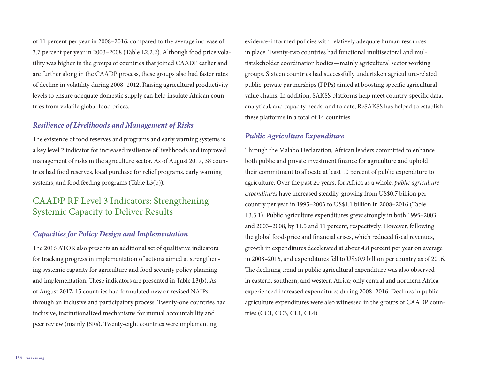of 11 percent per year in 2008–2016, compared to the average increase of 3.7 percent per year in 2003–2008 (Table L2.2.2). Although food price volatility was higher in the groups of countries that joined CAADP earlier and are further along in the CAADP process, these groups also had faster rates of decline in volatility during 2008–2012. Raising agricultural productivity levels to ensure adequate domestic supply can help insulate African countries from volatile global food prices.

#### *Resilience of Livelihoods and Management of Risks*

The existence of food reserves and programs and early warning systems is a key level 2 indicator for increased resilience of livelihoods and improved management of risks in the agriculture sector. As of August 2017, 38 countries had food reserves, local purchase for relief programs, early warning systems, and food feeding programs (Table L3(b)).

## CAADP RF Level 3 Indicators: Strengthening Systemic Capacity to Deliver Results

#### *Capacities for Policy Design and Implementation*

The 2016 ATOR also presents an additional set of qualitative indicators for tracking progress in implementation of actions aimed at strengthening systemic capacity for agriculture and food security policy planning and implementation. These indicators are presented in Table L3(b). As of August 2017, 15 countries had formulated new or revised NAIPs through an inclusive and participatory process. Twenty-one countries had inclusive, institutionalized mechanisms for mutual accountability and peer review (mainly JSRs). Twenty-eight countries were implementing

evidence-informed policies with relatively adequate human resources in place. Twenty-two countries had functional multisectoral and multistakeholder coordination bodies—mainly agricultural sector working groups. Sixteen countries had successfully undertaken agriculture-related public-private partnerships (PPPs) aimed at boosting specific agricultural value chains. In addition, SAKSS platforms help meet country-specific data, analytical, and capacity needs, and to date, ReSAKSS has helped to establish these platforms in a total of 14 countries.

#### *Public Agriculture Expenditure*

Through the Malabo Declaration, African leaders committed to enhance both public and private investment finance for agriculture and uphold their commitment to allocate at least 10 percent of public expenditure to agriculture. Over the past 20 years, for Africa as a whole, *public agriculture expenditures* have increased steadily, growing from US\$0.7 billion per country per year in 1995–2003 to US\$1.1 billion in 2008–2016 (Table L3.5.1). Public agriculture expenditures grew strongly in both 1995–2003 and 2003–2008, by 11.5 and 11 percent, respectively. However, following the global food-price and financial crises, which reduced fiscal revenues, growth in expenditures decelerated at about 4.8 percent per year on average in 2008–2016, and expenditures fell to US\$0.9 billion per country as of 2016. The declining trend in public agricultural expenditure was also observed in eastern, southern, and western Africa; only central and northern Africa experienced increased expenditures during 2008–2016. Declines in public agriculture expenditures were also witnessed in the groups of CAADP countries (CC1, CC3, CL1, CL4).